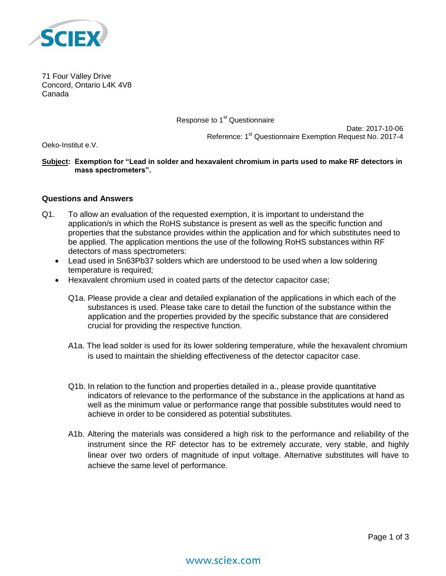

71 Four Valley Drive Concord, Ontario L4K 4V8 Canada

Response to 1<sup>st</sup> Questionnaire

Date: 2017-10-06 Reference: 1<sup>st</sup> Questionnaire Exemption Request No. 2017-4

Oeko-Institut e.V.

**Subject: Exemption for "Lead in solder and hexavalent chromium in parts used to make RF detectors in mass spectrometers".**

## **Questions and Answers**

- Q1. To allow an evaluation of the requested exemption, it is important to understand the application/s in which the RoHS substance is present as well as the specific function and properties that the substance provides within the application and for which substitutes need to be applied. The application mentions the use of the following RoHS substances within RF detectors of mass spectrometers:
	- Lead used in Sn63Pb37 solders which are understood to be used when a low soldering temperature is required;
	- Hexavalent chromium used in coated parts of the detector capacitor case;
		- Q1a. Please provide a clear and detailed explanation of the applications in which each of the substances is used. Please take care to detail the function of the substance within the application and the properties provided by the specific substance that are considered crucial for providing the respective function.
		- A1a. The lead solder is used for its lower soldering temperature, while the hexavalent chromium is used to maintain the shielding effectiveness of the detector capacitor case.
		- Q1b. In relation to the function and properties detailed in a., please provide quantitative indicators of relevance to the performance of the substance in the applications at hand as well as the minimum value or performance range that possible substitutes would need to achieve in order to be considered as potential substitutes.
		- A1b. Altering the materials was considered a high risk to the performance and reliability of the instrument since the RF detector has to be extremely accurate, very stable, and highly linear over two orders of magnitude of input voltage. Alternative substitutes will have to achieve the same level of performance.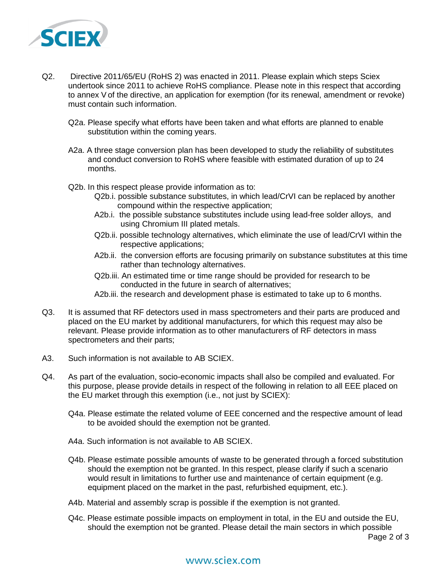

- Q2. Directive 2011/65/EU (RoHS 2) was enacted in 2011. Please explain which steps Sciex undertook since 2011 to achieve RoHS compliance. Please note in this respect that according to annex V of the directive, an application for exemption (for its renewal, amendment or revoke) must contain such information.
	- Q2a. Please specify what efforts have been taken and what efforts are planned to enable substitution within the coming years.
	- A2a. A three stage conversion plan has been developed to study the reliability of substitutes and conduct conversion to RoHS where feasible with estimated duration of up to 24 months.
	- Q2b. In this respect please provide information as to:
		- Q2b.i. possible substance substitutes, in which lead/CrVI can be replaced by another compound within the respective application;
		- A2b.i. the possible substance substitutes include using lead-free solder alloys, and using Chromium III plated metals.
		- Q2b.ii. possible technology alternatives, which eliminate the use of lead/CrVI within the respective applications;
		- A2b.ii. the conversion efforts are focusing primarily on substance substitutes at this time rather than technology alternatives.
		- Q2b.iii. An estimated time or time range should be provided for research to be conducted in the future in search of alternatives;
		- A2b.iii. the research and development phase is estimated to take up to 6 months.
- Q3. It is assumed that RF detectors used in mass spectrometers and their parts are produced and placed on the EU market by additional manufacturers, for which this request may also be relevant. Please provide information as to other manufacturers of RF detectors in mass spectrometers and their parts;
- A3. Such information is not available to AB SCIEX.
- Q4. As part of the evaluation, socio-economic impacts shall also be compiled and evaluated. For this purpose, please provide details in respect of the following in relation to all EEE placed on the EU market through this exemption (i.e., not just by SCIEX):
	- Q4a. Please estimate the related volume of EEE concerned and the respective amount of lead to be avoided should the exemption not be granted.
	- A4a. Such information is not available to AB SCIEX.
	- Q4b. Please estimate possible amounts of waste to be generated through a forced substitution should the exemption not be granted. In this respect, please clarify if such a scenario would result in limitations to further use and maintenance of certain equipment (e.g. equipment placed on the market in the past, refurbished equipment, etc.).
	- A4b. Material and assembly scrap is possible if the exemption is not granted.
	- Q4c. Please estimate possible impacts on employment in total, in the EU and outside the EU, should the exemption not be granted. Please detail the main sectors in which possible